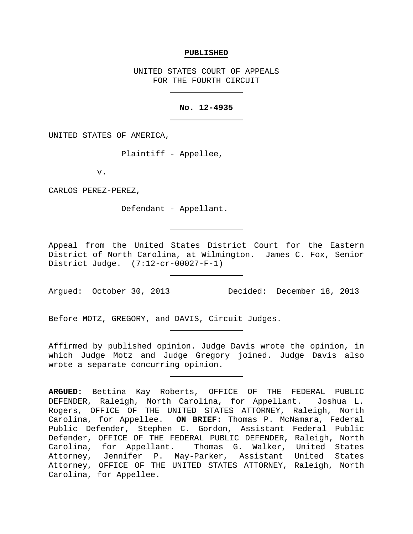## **PUBLISHED**

UNITED STATES COURT OF APPEALS FOR THE FOURTH CIRCUIT

## **No. 12-4935**

UNITED STATES OF AMERICA,

Plaintiff - Appellee,

v.

CARLOS PEREZ-PEREZ,

Defendant - Appellant.

Appeal from the United States District Court for the Eastern District of North Carolina, at Wilmington. James C. Fox, Senior District Judge. (7:12-cr-00027-F-1)

Argued: October 30, 2013 Decided: December 18, 2013

Before MOTZ, GREGORY, and DAVIS, Circuit Judges.

Affirmed by published opinion. Judge Davis wrote the opinion, in which Judge Motz and Judge Gregory joined. Judge Davis also wrote a separate concurring opinion.

**ARGUED:** Bettina Kay Roberts, OFFICE OF THE FEDERAL PUBLIC DEFENDER, Raleigh, North Carolina, for Appellant. Joshua L. Rogers, OFFICE OF THE UNITED STATES ATTORNEY, Raleigh, North Carolina, for Appellee. **ON BRIEF:** Thomas P. McNamara, Federal Public Defender, Stephen C. Gordon, Assistant Federal Public Defender, OFFICE OF THE FEDERAL PUBLIC DEFENDER, Raleigh, North Carolina, for Appellant. Thomas G. Walker, United States Attorney, Jennifer P. May-Parker, Assistant United States Attorney, OFFICE OF THE UNITED STATES ATTORNEY, Raleigh, North Carolina, for Appellee.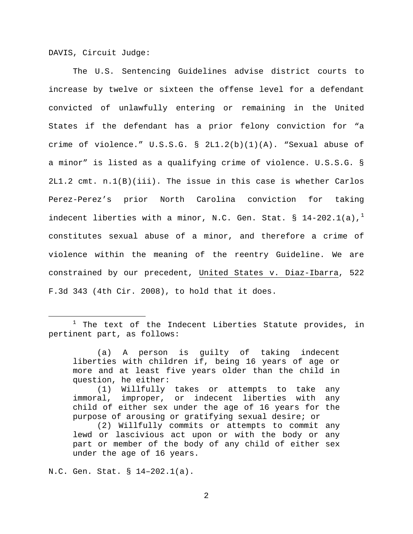DAVIS, Circuit Judge:

The U.S. Sentencing Guidelines advise district courts to increase by twelve or sixteen the offense level for a defendant convicted of unlawfully entering or remaining in the United States if the defendant has a prior felony conviction for "a crime of violence." U.S.S.G. § 2L1.2(b)(1)(A). "Sexual abuse of a minor" is listed as a qualifying crime of violence. U.S.S.G. § 2L1.2 cmt. n.1(B)(iii). The issue in this case is whether Carlos Perez-Perez's prior North Carolina conviction for taking indecent liberties with a minor, N.C. Gen. Stat. § [1](#page-1-0)4-202.1(a),<sup>1</sup> constitutes sexual abuse of a minor, and therefore a crime of violence within the meaning of the reentry Guideline. We are constrained by our precedent, United States v. Diaz-Ibarra, 522 F.3d 343 (4th Cir. 2008), to hold that it does.

N.C. Gen. Stat. § 14–202.1(a).

<span id="page-1-0"></span> $1$  The text of the Indecent Liberties Statute provides, in pertinent part, as follows:

<sup>(</sup>a) A person is guilty of taking indecent liberties with children if, being 16 years of age or more and at least five years older than the child in question, he either:

<sup>(1)</sup> Willfully takes or attempts to take any immoral, improper, or indecent liberties with any child of either sex under the age of 16 years for the purpose of arousing or gratifying sexual desire; or

<sup>(2)</sup> Willfully commits or attempts to commit any lewd or lascivious act upon or with the body or any part or member of the body of any child of either sex under the age of 16 years.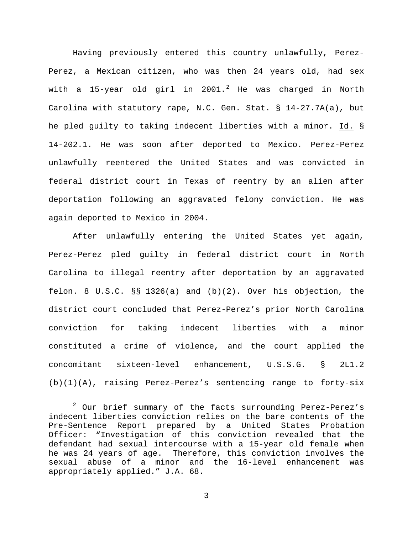Having previously entered this country unlawfully, Perez-Perez, a Mexican citizen, who was then 24 years old, had sex with a 15-year old girl in [2](#page-2-0)001.<sup>2</sup> He was charged in North Carolina with statutory rape, N.C. Gen. Stat. § 14-27.7A(a), but he pled guilty to taking indecent liberties with a minor. Id. § 14-202.1. He was soon after deported to Mexico. Perez-Perez unlawfully reentered the United States and was convicted in federal district court in Texas of reentry by an alien after deportation following an aggravated felony conviction. He was again deported to Mexico in 2004.

After unlawfully entering the United States yet again, Perez-Perez pled guilty in federal district court in North Carolina to illegal reentry after deportation by an aggravated felon. 8 U.S.C. §§ 1326(a) and (b)(2). Over his objection, the district court concluded that Perez-Perez's prior North Carolina conviction for taking indecent liberties with a minor constituted a crime of violence, and the court applied the concomitant sixteen-level enhancement, U.S.S.G. § 2L1.2 (b)(1)(A), raising Perez-Perez's sentencing range to forty-six

<span id="page-2-0"></span><sup>&</sup>lt;sup>2</sup> Our brief summary of the facts surrounding Perez-Perez's indecent liberties conviction relies on the bare contents of the Pre-Sentence Report prepared by a United States Probation Officer: "Investigation of this conviction revealed that the defendant had sexual intercourse with a 15-year old female when he was 24 years of age. Therefore, this conviction involves the sexual abuse of a minor and the 16-level enhancement was appropriately applied." J.A. 68.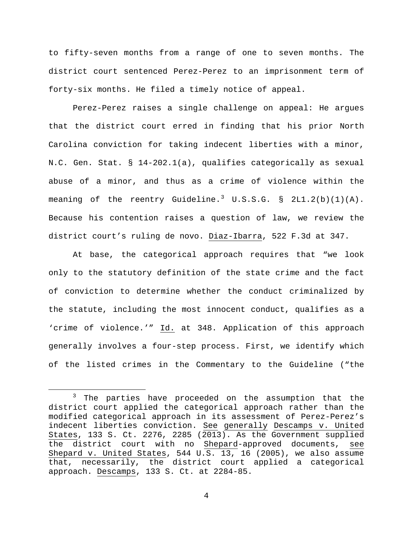to fifty-seven months from a range of one to seven months. The district court sentenced Perez-Perez to an imprisonment term of forty-six months. He filed a timely notice of appeal.

Perez-Perez raises a single challenge on appeal: He argues that the district court erred in finding that his prior North Carolina conviction for taking indecent liberties with a minor, N.C. Gen. Stat. § 14-202.1(a), qualifies categorically as sexual abuse of a minor, and thus as a crime of violence within the meaning of the reentry Guideline.<sup>[3](#page-3-0)</sup> U.S.S.G. § 2L1.2(b)(1)(A). Because his contention raises a question of law, we review the district court's ruling de novo. Diaz-Ibarra, 522 F.3d at 347.

At base, the categorical approach requires that "we look only to the statutory definition of the state crime and the fact of conviction to determine whether the conduct criminalized by the statute, including the most innocent conduct, qualifies as a 'crime of violence.'" Id. at 348. Application of this approach generally involves a four-step process. First, we identify which of the listed crimes in the Commentary to the Guideline ("the

<span id="page-3-0"></span><sup>&</sup>lt;sup>3</sup> The parties have proceeded on the assumption that the district court applied the categorical approach rather than the modified categorical approach in its assessment of Perez-Perez's indecent liberties conviction. See generally Descamps v. United States, 133 S. Ct. 2276, 2285 (2013). As the Government supplied the district court with no Shepard-approved documents, see Shepard v. United States, 544 U.S. 13, 16 (2005), we also assume that, necessarily, the district court applied a categorical approach. Descamps, 133 S. Ct. at 2284-85.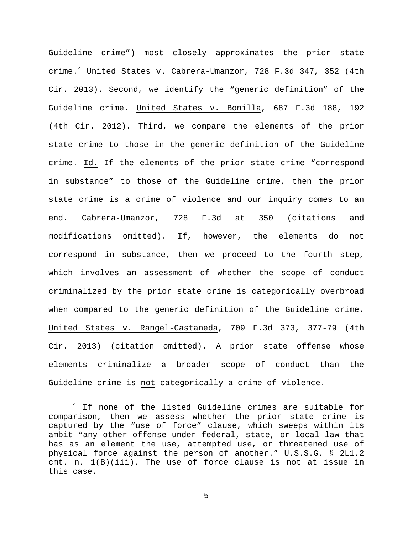Guideline crime") most closely approximates the prior state crime.[4](#page-4-0) United States v. Cabrera-Umanzor, 728 F.3d 347, 352 (4th Cir. 2013). Second, we identify the "generic definition" of the Guideline crime. United States v. Bonilla, 687 F.3d 188, 192 (4th Cir. 2012). Third, we compare the elements of the prior state crime to those in the generic definition of the Guideline crime. Id. If the elements of the prior state crime "correspond in substance" to those of the Guideline crime, then the prior state crime is a crime of violence and our inquiry comes to an end. Cabrera-Umanzor, 728 F.3d at 350 (citations and modifications omitted). If, however, the elements do not correspond in substance, then we proceed to the fourth step, which involves an assessment of whether the scope of conduct criminalized by the prior state crime is categorically overbroad when compared to the generic definition of the Guideline crime. United States v. Rangel-Castaneda, 709 F.3d 373, 377-79 (4th Cir. 2013) (citation omitted). A prior state offense whose elements criminalize a broader scope of conduct than the Guideline crime is not categorically a crime of violence.

<span id="page-4-0"></span><sup>&</sup>lt;sup>4</sup> If none of the listed Guideline crimes are suitable for comparison, then we assess whether the prior state crime is captured by the "use of force" clause, which sweeps within its ambit "any other offense under federal, state, or local law that has as an element the use, attempted use, or threatened use of physical force against the person of another." U.S.S.G. § 2L1.2 cmt. n. 1(B)(iii). The use of force clause is not at issue in this case.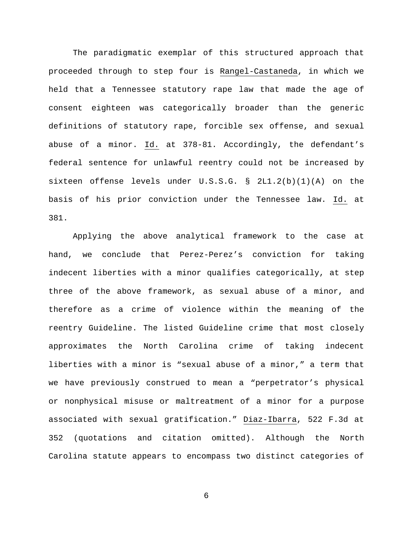The paradigmatic exemplar of this structured approach that proceeded through to step four is Rangel-Castaneda, in which we held that a Tennessee statutory rape law that made the age of consent eighteen was categorically broader than the generic definitions of statutory rape, forcible sex offense, and sexual abuse of a minor. Id. at 378-81. Accordingly, the defendant's federal sentence for unlawful reentry could not be increased by sixteen offense levels under U.S.S.G. § 2L1.2(b)(1)(A) on the basis of his prior conviction under the Tennessee law. Id. at 381.

Applying the above analytical framework to the case at hand, we conclude that Perez-Perez's conviction for taking indecent liberties with a minor qualifies categorically, at step three of the above framework, as sexual abuse of a minor, and therefore as a crime of violence within the meaning of the reentry Guideline. The listed Guideline crime that most closely approximates the North Carolina crime of taking indecent liberties with a minor is "sexual abuse of a minor," a term that we have previously construed to mean a "perpetrator's physical or nonphysical misuse or maltreatment of a minor for a purpose associated with sexual gratification." Diaz-Ibarra, 522 F.3d at 352 (quotations and citation omitted). Although the North Carolina statute appears to encompass two distinct categories of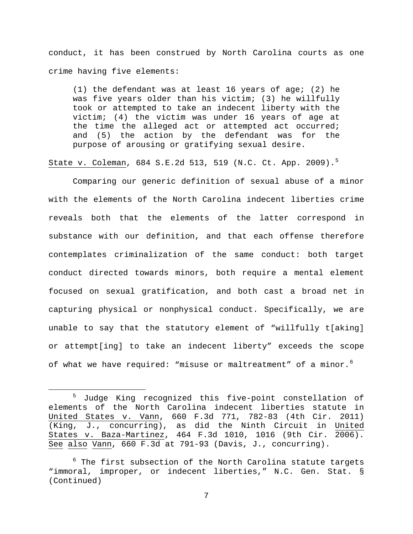conduct, it has been construed by North Carolina courts as one crime having five elements:

(1) the defendant was at least 16 years of age; (2) he was five years older than his victim; (3) he willfully took or attempted to take an indecent liberty with the victim; (4) the victim was under 16 years of age at the time the alleged act or attempted act occurred; and (5) the action by the defendant was for the purpose of arousing or gratifying sexual desire.

State v. Coleman, 684 S.E.2d 513, 519 (N.C. Ct. App. 2009).[5](#page-6-0)

Comparing our generic definition of sexual abuse of a minor with the elements of the North Carolina indecent liberties crime reveals both that the elements of the latter correspond in substance with our definition, and that each offense therefore contemplates criminalization of the same conduct: both target conduct directed towards minors, both require a mental element focused on sexual gratification, and both cast a broad net in capturing physical or nonphysical conduct. Specifically, we are unable to say that the statutory element of "willfully t[aking] or attempt[ing] to take an indecent liberty" exceeds the scope of what we have required: "misuse or maltreatment" of a minor.<sup>[6](#page-6-1)</sup>

<span id="page-6-0"></span> <sup>5</sup> Judge King recognized this five-point constellation of elements of the North Carolina indecent liberties statute in United States v. Vann, 660 F.3d 771, 782-83 (4th Cir. 2011) (King, J., concurring), as did the Ninth Circuit in United States v. Baza-Martinez, 464 F.3d 1010, 1016 (9th Cir. 2006). See also Vann, 660 F.3d at 791-93 (Davis, J., concurring).

<span id="page-6-1"></span> $^6$  The first subsection of the North Carolina statute targets "immoral, improper, or indecent liberties," N.C. Gen. Stat. § (Continued)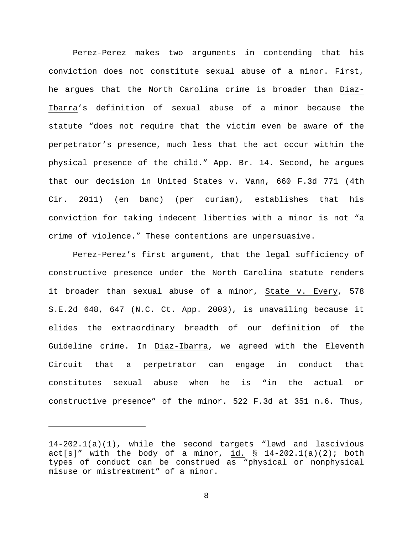Perez-Perez makes two arguments in contending that his conviction does not constitute sexual abuse of a minor. First, he argues that the North Carolina crime is broader than Diaz-Ibarra's definition of sexual abuse of a minor because the statute "does not require that the victim even be aware of the perpetrator's presence, much less that the act occur within the physical presence of the child." App. Br. 14. Second, he argues that our decision in United States v. Vann, 660 F.3d 771 (4th Cir. 2011) (en banc) (per curiam), establishes that his conviction for taking indecent liberties with a minor is not "a crime of violence." These contentions are unpersuasive.

Perez-Perez's first argument, that the legal sufficiency of constructive presence under the North Carolina statute renders it broader than sexual abuse of a minor, State v. Every, 578 S.E.2d 648, 647 (N.C. Ct. App. 2003), is unavailing because it elides the extraordinary breadth of our definition of the Guideline crime. In Diaz-Ibarra, we agreed with the Eleventh Circuit that a perpetrator can engage in conduct that constitutes sexual abuse when he is "in the actual or constructive presence" of the minor. 522 F.3d at 351 n.6. Thus,

Ĩ.

<sup>14-202.1(</sup>a)(1), while the second targets "lewd and lascivious  $act[s]$ " with the body of a minor, id. § 14-202.1(a)(2); both types of conduct can be construed as "physical or nonphysical misuse or mistreatment" of a minor.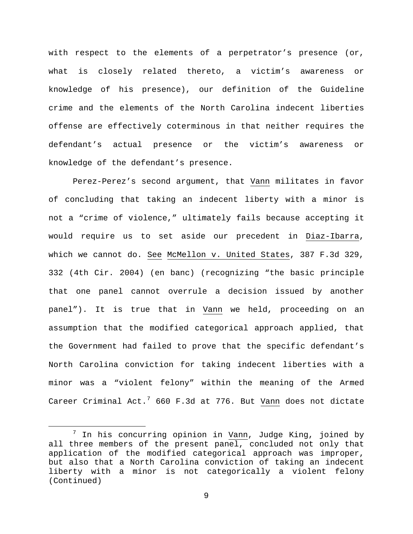with respect to the elements of a perpetrator's presence (or, what is closely related thereto, a victim's awareness or knowledge of his presence), our definition of the Guideline crime and the elements of the North Carolina indecent liberties offense are effectively coterminous in that neither requires the defendant's actual presence or the victim's awareness or knowledge of the defendant's presence.

Perez-Perez's second argument, that Vann militates in favor of concluding that taking an indecent liberty with a minor is not a "crime of violence," ultimately fails because accepting it would require us to set aside our precedent in Diaz-Ibarra, which we cannot do. See McMellon v. United States, 387 F.3d 329, 332 (4th Cir. 2004) (en banc) (recognizing "the basic principle that one panel cannot overrule a decision issued by another panel"). It is true that in Vann we held, proceeding on an assumption that the modified categorical approach applied, that the Government had failed to prove that the specific defendant's North Carolina conviction for taking indecent liberties with a minor was a "violent felony" within the meaning of the Armed Career Criminal Act.<sup>[7](#page-8-0)</sup> 660 F.3d at 776. But Vann does not dictate

<span id="page-8-0"></span>In his concurring opinion in Vann, Judge King, joined by all three members of the present panel, concluded not only that application of the modified categorical approach was improper, but also that a North Carolina conviction of taking an indecent liberty with a minor is not categorically a violent felony (Continued)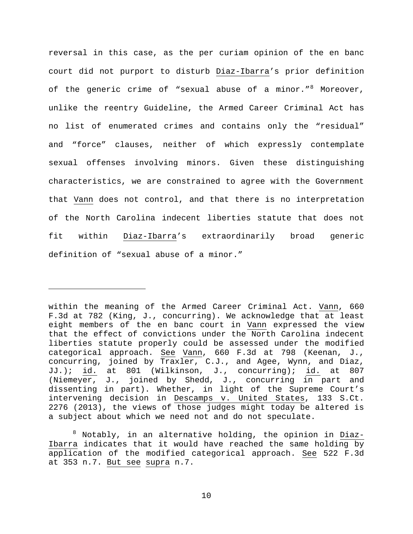reversal in this case, as the per curiam opinion of the en banc court did not purport to disturb Diaz-Ibarra's prior definition of the generic crime of "sexual abuse of a minor."<sup>[8](#page-9-0)</sup> Moreover, unlike the reentry Guideline, the Armed Career Criminal Act has no list of enumerated crimes and contains only the "residual" and "force" clauses, neither of which expressly contemplate sexual offenses involving minors. Given these distinguishing characteristics, we are constrained to agree with the Government that Vann does not control, and that there is no interpretation of the North Carolina indecent liberties statute that does not fit within Diaz-Ibarra's extraordinarily broad generic definition of "sexual abuse of a minor."

ī

within the meaning of the Armed Career Criminal Act. Vann, 660 F.3d at 782 (King, J., concurring). We acknowledge that at least eight members of the en banc court in Vann expressed the view that the effect of convictions under the North Carolina indecent liberties statute properly could be assessed under the modified categorical approach. See Vann, 660 F.3d at 798 (Keenan, J., concurring, joined by Traxler, C.J., and Agee, Wynn, and Diaz, JJ.); id. at 801 (Wilkinson, J., concurring); id. at 807 (Niemeyer, J., joined by Shedd, J., concurring in part and dissenting in part). Whether, in light of the Supreme Court's intervening decision in Descamps v. United States, 133 S.Ct. 2276 (2013), the views of those judges might today be altered is a subject about which we need not and do not speculate.

<span id="page-9-0"></span> $8$  Notably, in an alternative holding, the opinion in Diaz-Ibarra indicates that it would have reached the same holding by application of the modified categorical approach. See 522 F.3d at 353 n.7. But see supra n.7.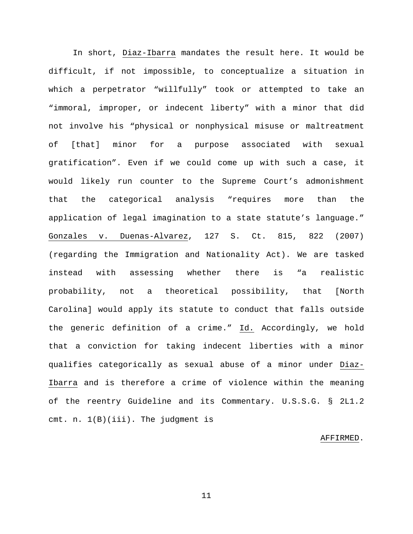In short, Diaz-Ibarra mandates the result here. It would be difficult, if not impossible, to conceptualize a situation in which a perpetrator "willfully" took or attempted to take an "immoral, improper, or indecent liberty" with a minor that did not involve his "physical or nonphysical misuse or maltreatment of [that] minor for a purpose associated with sexual gratification". Even if we could come up with such a case, it would likely run counter to the Supreme Court's admonishment that the categorical analysis "requires more than the application of legal imagination to a state statute's language." Gonzales v. Duenas-Alvarez, 127 S. Ct. 815, 822 (2007) (regarding the Immigration and Nationality Act). We are tasked instead with assessing whether there is "a realistic probability, not a theoretical possibility, that [North Carolina] would apply its statute to conduct that falls outside the generic definition of a crime." Id. Accordingly, we hold that a conviction for taking indecent liberties with a minor qualifies categorically as sexual abuse of a minor under Diaz-Ibarra and is therefore a crime of violence within the meaning of the reentry Guideline and its Commentary. U.S.S.G. § 2L1.2 cmt. n. 1(B)(iii). The judgment is

## AFFIRMED.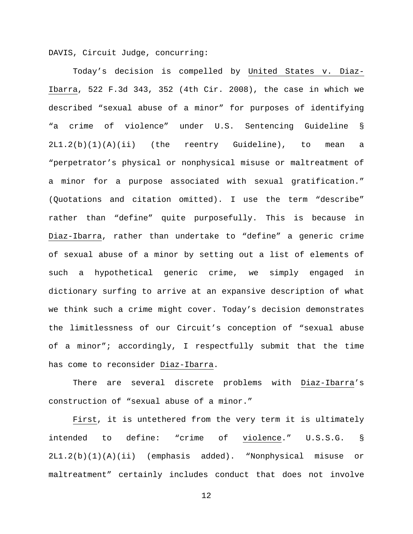DAVIS, Circuit Judge, concurring:

Today's decision is compelled by United States v. Diaz-Ibarra, 522 F.3d 343, 352 (4th Cir. 2008), the case in which we described "sexual abuse of a minor" for purposes of identifying "a crime of violence" under U.S. Sentencing Guideline § 2L1.2(b)(1)(A)(ii) (the reentry Guideline), to mean a "perpetrator's physical or nonphysical misuse or maltreatment of a minor for a purpose associated with sexual gratification." (Quotations and citation omitted). I use the term "describe" rather than "define" quite purposefully. This is because in Diaz-Ibarra, rather than undertake to "define" a generic crime of sexual abuse of a minor by setting out a list of elements of such a hypothetical generic crime, we simply engaged in dictionary surfing to arrive at an expansive description of what we think such a crime might cover. Today's decision demonstrates the limitlessness of our Circuit's conception of "sexual abuse of a minor"; accordingly, I respectfully submit that the time has come to reconsider Diaz-Ibarra.

There are several discrete problems with Diaz-Ibarra's construction of "sexual abuse of a minor."

First, it is untethered from the very term it is ultimately intended to define: "crime of violence." U.S.S.G. § 2L1.2(b)(1)(A)(ii) (emphasis added). "Nonphysical misuse or maltreatment" certainly includes conduct that does not involve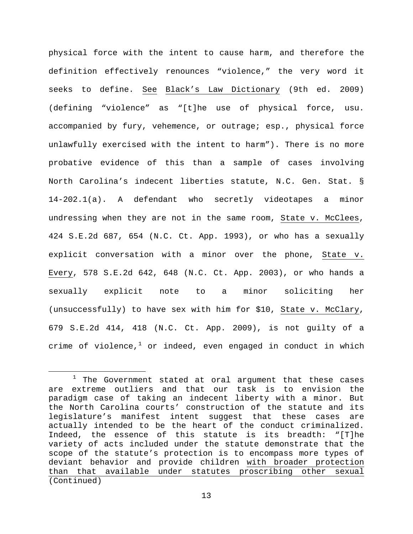physical force with the intent to cause harm, and therefore the definition effectively renounces "violence," the very word it seeks to define. See Black's Law Dictionary (9th ed. 2009) (defining "violence" as "[t]he use of physical force, usu. accompanied by fury, vehemence, or outrage; esp., physical force unlawfully exercised with the intent to harm"). There is no more probative evidence of this than a sample of cases involving North Carolina's indecent liberties statute, N.C. Gen. Stat. § 14-202.1(a). A defendant who secretly videotapes a minor undressing when they are not in the same room, State v. McClees, 424 S.E.2d 687, 654 (N.C. Ct. App. 1993), or who has a sexually explicit conversation with a minor over the phone, State v. Every, 578 S.E.2d 642, 648 (N.C. Ct. App. 2003), or who hands a sexually explicit note to a minor soliciting her (unsuccessfully) to have sex with him for \$10, State v. McClary, 679 S.E.2d 414, 418 (N.C. Ct. App. 2009), is not guilty of a crime of violence, $1$  or indeed, even engaged in conduct in which

<span id="page-12-0"></span> $1$  The Government stated at oral argument that these cases are extreme outliers and that our task is to envision the paradigm case of taking an indecent liberty with a minor. But the North Carolina courts' construction of the statute and its legislature's manifest intent suggest that these cases are actually intended to be the heart of the conduct criminalized. Indeed, the essence of this statute is its breadth: "[T]he variety of acts included under the statute demonstrate that the scope of the statute's protection is to encompass more types of deviant behavior and provide children with broader protection than that available under statutes proscribing other sexual (Continued)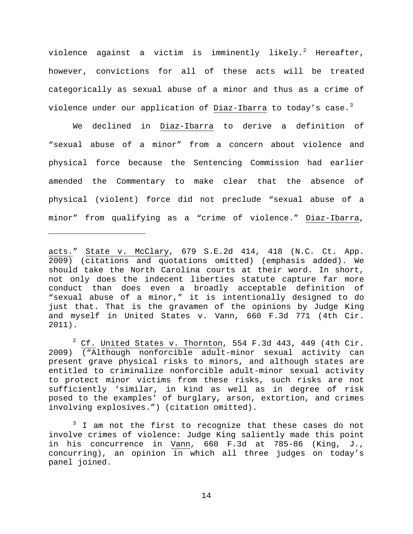violence against a victim is imminently likely.<sup>[2](#page-13-0)</sup> Hereafter, however, convictions for all of these acts will be treated categorically as sexual abuse of a minor and thus as a crime of violence under our application of Diaz-Ibarra to today's case.<sup>[3](#page-13-1)</sup>

We declined in Diaz-Ibarra to derive a definition of "sexual abuse of a minor" from a concern about violence and physical force because the Sentencing Commission had earlier amended the Commentary to make clear that the absence of physical (violent) force did not preclude "sexual abuse of a minor" from qualifying as a "crime of violence." Diaz-Ibarra,

Ĩ.

acts." State v. McClary, 679 S.E.2d 414, 418 (N.C. Ct. App. 2009) (citations and quotations omitted) (emphasis added). We should take the North Carolina courts at their word. In short, not only does the indecent liberties statute capture far more conduct than does even a broadly acceptable definition of "sexual abuse of a minor," it is intentionally designed to do just that. That is the gravamen of the opinions by Judge King and myself in United States v. Vann, 660 F.3d 771 (4th Cir. 2011).

<span id="page-13-0"></span> $2^2$  Cf. United States v. Thornton, 554 F.3d 443, 449 (4th Cir. 2009) ("Although nonforcible adult-minor sexual activity can present grave physical risks to minors, and although states are entitled to criminalize nonforcible adult-minor sexual activity to protect minor victims from these risks, such risks are not sufficiently 'similar, in kind as well as in degree of risk posed to the examples' of burglary, arson, extortion, and crimes involving explosives.") (citation omitted).

<span id="page-13-1"></span> $3$  I am not the first to recognize that these cases do not involve crimes of violence: Judge King saliently made this point in his concurrence in Vann, 660 F.3d at 785-86 (King, J., concurring), an opinion in which all three judges on today's panel joined.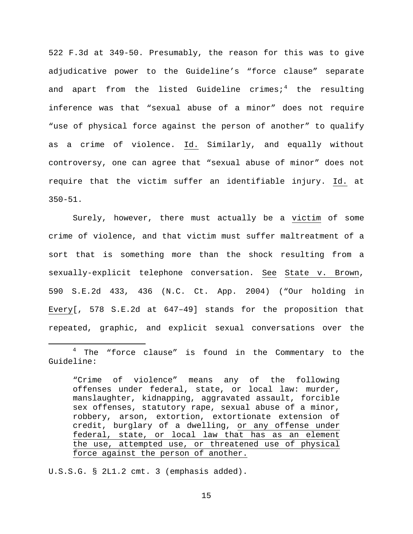522 F.3d at 349-50. Presumably, the reason for this was to give adjudicative power to the Guideline's "force clause" separate and apart from the listed Guideline crimes;<sup>[4](#page-14-0)</sup> the resulting inference was that "sexual abuse of a minor" does not require "use of physical force against the person of another" to qualify as a crime of violence. Id. Similarly, and equally without controversy, one can agree that "sexual abuse of minor" does not require that the victim suffer an identifiable injury. Id. at 350-51.

Surely, however, there must actually be a victim of some crime of violence, and that victim must suffer maltreatment of a sort that is something more than the shock resulting from a sexually-explicit telephone conversation. See State v. Brown, 590 S.E.2d 433, 436 (N.C. Ct. App. 2004) ("Our holding in Every[, 578 S.E.2d at 647–49] stands for the proposition that repeated, graphic, and explicit sexual conversations over the

U.S.S.G. § 2L1.2 cmt. 3 (emphasis added).

<span id="page-14-0"></span><sup>&</sup>lt;sup>4</sup> The "force clause" is found in the Commentary to the Guideline:

<sup>&</sup>quot;Crime of violence" means any of the following offenses under federal, state, or local law: murder, manslaughter, kidnapping, aggravated assault, forcible sex offenses, statutory rape, sexual abuse of a minor, robbery, arson, extortion, extortionate extension of credit, burglary of a dwelling, or any offense under federal, state, or local law that has as an element the use, attempted use, or threatened use of physical force against the person of another.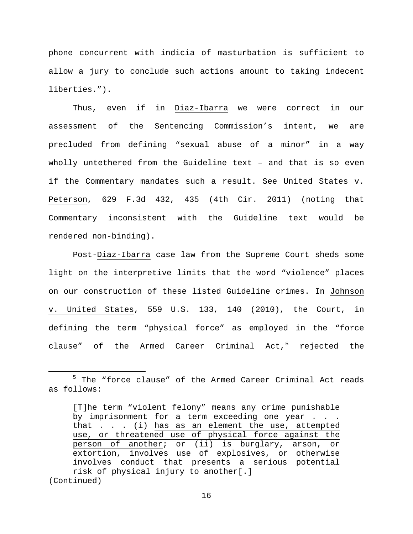phone concurrent with indicia of masturbation is sufficient to allow a jury to conclude such actions amount to taking indecent liberties.").

Thus, even if in Diaz-Ibarra we were correct in our assessment of the Sentencing Commission's intent, we are precluded from defining "sexual abuse of a minor" in a way wholly untethered from the Guideline text – and that is so even if the Commentary mandates such a result. See United States v. Peterson, 629 F.3d 432, 435 (4th Cir. 2011) (noting that Commentary inconsistent with the Guideline text would be rendered non-binding).

Post-Diaz-Ibarra case law from the Supreme Court sheds some light on the interpretive limits that the word "violence" places on our construction of these listed Guideline crimes. In Johnson v. United States, 559 U.S. 133, 140 (2010), the Court, in defining the term "physical force" as employed in the "force clause" of the Armed Career Criminal Act, $5$  rejected the

<span id="page-15-0"></span><sup>&</sup>lt;sup>5</sup> The "force clause" of the Armed Career Criminal Act reads as follows:

<sup>[</sup>T]he term "violent felony" means any crime punishable by imprisonment for a term exceeding one year . . . that  $\ldots$  . (i) has as an element the use, attempted use, or threatened use of physical force against the person of another; or (ii) is burglary, arson, or extortion, involves use of explosives, or otherwise involves conduct that presents a serious potential risk of physical injury to another[.] (Continued)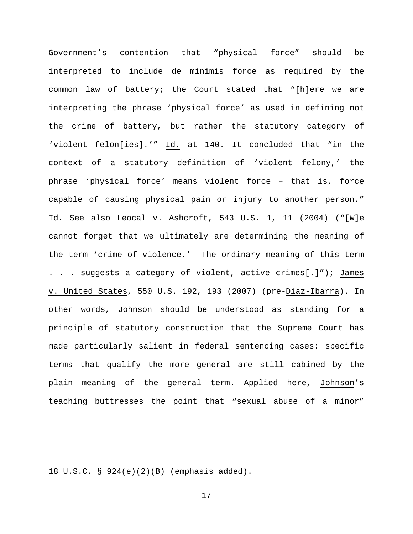Government's contention that "physical force" should be interpreted to include de minimis force as required by the common law of battery; the Court stated that "[h]ere we are interpreting the phrase 'physical force' as used in defining not the crime of battery, but rather the statutory category of 'violent felon[ies].'" Id. at 140. It concluded that "in the context of a statutory definition of 'violent felony,' the phrase 'physical force' means violent force – that is, force capable of causing physical pain or injury to another person." Id. See also Leocal v. Ashcroft, 543 U.S. 1, 11 (2004) ("[W]e cannot forget that we ultimately are determining the meaning of the term 'crime of violence.' The ordinary meaning of this term . . . suggests a category of violent, active crimes[.]"); James v. United States, 550 U.S. 192, 193 (2007) (pre-Diaz-Ibarra). In other words, Johnson should be understood as standing for a principle of statutory construction that the Supreme Court has made particularly salient in federal sentencing cases: specific terms that qualify the more general are still cabined by the plain meaning of the general term. Applied here, Johnson's teaching buttresses the point that "sexual abuse of a minor"

18 U.S.C. § 924(e)(2)(B) (emphasis added).

Ĩ.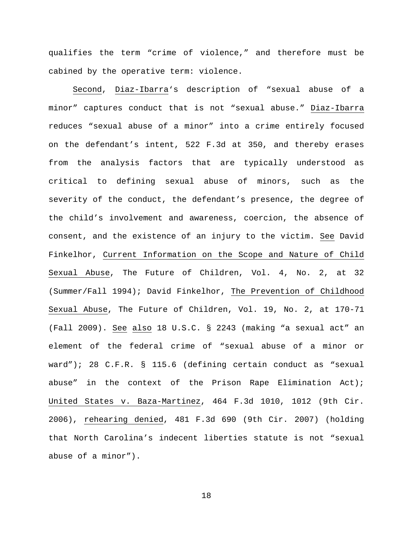qualifies the term "crime of violence," and therefore must be cabined by the operative term: violence.

Second, Diaz-Ibarra's description of "sexual abuse of a minor" captures conduct that is not "sexual abuse." Diaz-Ibarra reduces "sexual abuse of a minor" into a crime entirely focused on the defendant's intent, 522 F.3d at 350, and thereby erases from the analysis factors that are typically understood as critical to defining sexual abuse of minors, such as the severity of the conduct, the defendant's presence, the degree of the child's involvement and awareness, coercion, the absence of consent, and the existence of an injury to the victim. See David Finkelhor, Current Information on the Scope and Nature of Child Sexual Abuse, The Future of Children, Vol. 4, No. 2, at 32 (Summer/Fall 1994); David Finkelhor, The Prevention of Childhood Sexual Abuse, The Future of Children, Vol. 19, No. 2, at 170-71 (Fall 2009). See also 18 U.S.C. § 2243 (making "a sexual act" an element of the federal crime of "sexual abuse of a minor or ward"); 28 C.F.R. § 115.6 (defining certain conduct as "sexual abuse" in the context of the Prison Rape Elimination Act); United States v. Baza-Martinez, 464 F.3d 1010, 1012 (9th Cir. 2006), rehearing denied, 481 F.3d 690 (9th Cir. 2007) (holding that North Carolina's indecent liberties statute is not "sexual abuse of a minor").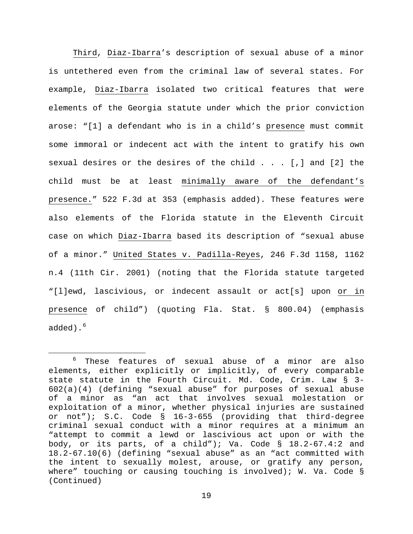Third, Diaz-Ibarra's description of sexual abuse of a minor is untethered even from the criminal law of several states. For example, Diaz-Ibarra isolated two critical features that were elements of the Georgia statute under which the prior conviction arose: "[1] a defendant who is in a child's presence must commit some immoral or indecent act with the intent to gratify his own sexual desires or the desires of the child . . . [,] and [2] the child must be at least minimally aware of the defendant's presence." 522 F.3d at 353 (emphasis added). These features were also elements of the Florida statute in the Eleventh Circuit case on which Diaz-Ibarra based its description of "sexual abuse of a minor." United States v. Padilla-Reyes, 246 F.3d 1158, 1162 n.4 (11th Cir. 2001) (noting that the Florida statute targeted "[l]ewd, lascivious, or indecent assault or act[s] upon or in presence of child") (quoting Fla. Stat. § 800.04) (emphasis added). $6$ 

<span id="page-18-0"></span> <sup>6</sup> These features of sexual abuse of a minor are also elements, either explicitly or implicitly, of every comparable state statute in the Fourth Circuit. Md. Code, Crim. Law § 3- 602(a)(4) (defining "sexual abuse" for purposes of sexual abuse of a minor as "an act that involves sexual molestation or exploitation of a minor, whether physical injuries are sustained or not"); S.C. Code § 16-3-655 (providing that third-degree criminal sexual conduct with a minor requires at a minimum an "attempt to commit a lewd or lascivious act upon or with the body, or its parts, of a child"); Va. Code § 18.2-67.4:2 and 18.2-67.10(6) (defining "sexual abuse" as an "act committed with the intent to sexually molest, arouse, or gratify any person, where" touching or causing touching is involved); W. Va. Code § (Continued)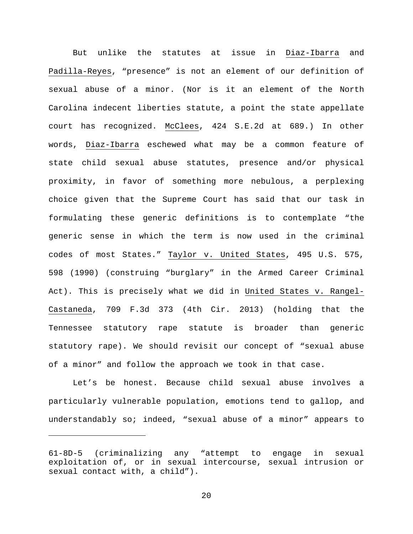But unlike the statutes at issue in Diaz-Ibarra and Padilla-Reyes, "presence" is not an element of our definition of sexual abuse of a minor. (Nor is it an element of the North Carolina indecent liberties statute, a point the state appellate court has recognized. McClees, 424 S.E.2d at 689.) In other words, Diaz-Ibarra eschewed what may be a common feature of state child sexual abuse statutes, presence and/or physical proximity, in favor of something more nebulous, a perplexing choice given that the Supreme Court has said that our task in formulating these generic definitions is to contemplate "the generic sense in which the term is now used in the criminal codes of most States." Taylor v. United States, 495 U.S. 575, 598 (1990) (construing "burglary" in the Armed Career Criminal Act). This is precisely what we did in United States v. Rangel-Castaneda, 709 F.3d 373 (4th Cir. 2013) (holding that the Tennessee statutory rape statute is broader than generic statutory rape). We should revisit our concept of "sexual abuse of a minor" and follow the approach we took in that case.

Let's be honest. Because child sexual abuse involves a particularly vulnerable population, emotions tend to gallop, and understandably so; indeed, "sexual abuse of a minor" appears to

Ĩ.

<sup>61-8</sup>D-5 (criminalizing any "attempt to engage in sexual exploitation of, or in sexual intercourse, sexual intrusion or sexual contact with, a child").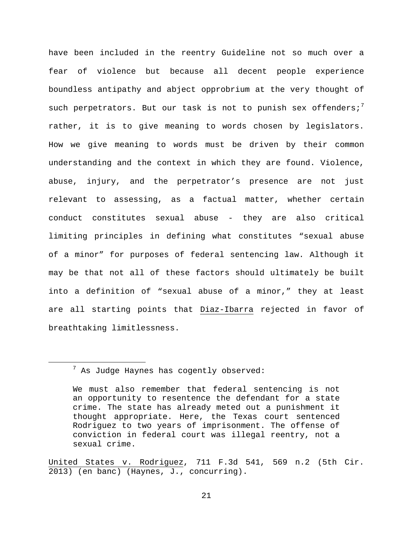have been included in the reentry Guideline not so much over a fear of violence but because all decent people experience boundless antipathy and abject opprobrium at the very thought of such perpetrators. But our task is not to punish sex offenders;<sup>[7](#page-20-0)</sup> rather, it is to give meaning to words chosen by legislators. How we give meaning to words must be driven by their common understanding and the context in which they are found. Violence, abuse, injury, and the perpetrator's presence are not just relevant to assessing, as a factual matter, whether certain conduct constitutes sexual abuse - they are also critical limiting principles in defining what constitutes "sexual abuse of a minor" for purposes of federal sentencing law. Although it may be that not all of these factors should ultimately be built into a definition of "sexual abuse of a minor," they at least are all starting points that Diaz-Ibarra rejected in favor of breathtaking limitlessness.

United States v. Rodriguez, 711 F.3d 541, 569 n.2 (5th Cir. 2013) (en banc) (Haynes, J., concurring).

<span id="page-20-0"></span> <sup>7</sup> As Judge Haynes has cogently observed:

We must also remember that federal sentencing is not an opportunity to resentence the defendant for a state crime. The state has already meted out a punishment it thought appropriate. Here, the Texas court sentenced Rodriguez to two years of imprisonment. The offense of conviction in federal court was illegal reentry, not a sexual crime.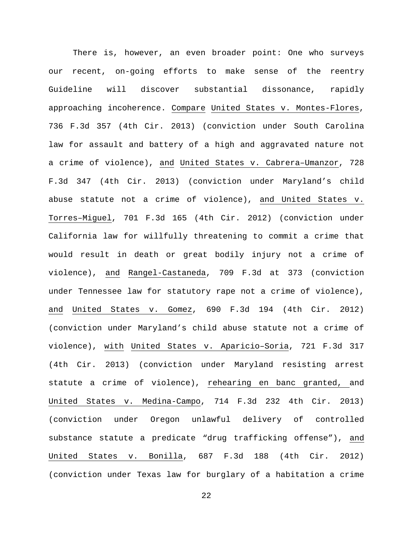There is, however, an even broader point: One who surveys our recent, on-going efforts to make sense of the reentry Guideline will discover substantial dissonance, rapidly approaching incoherence. Compare United States v. Montes-Flores, 736 F.3d 357 (4th Cir. 2013) (conviction under South Carolina law for assault and battery of a high and aggravated nature not a crime of violence), and United States v. Cabrera-Umanzor, 728 F.3d 347 (4th Cir. 2013) (conviction under Maryland's child abuse statute not a crime of violence), and United States v. Torres–Miguel, 701 F.3d 165 (4th Cir. 2012) (conviction under California law for willfully threatening to commit a crime that would result in death or great bodily injury not a crime of violence), and Rangel-Castaneda, 709 F.3d at 373 (conviction under Tennessee law for statutory rape not a crime of violence), and United States v. Gomez, 690 F.3d 194 (4th Cir. 2012) (conviction under Maryland's child abuse statute not a crime of violence), with United States v. Aparicio–Soria, 721 F.3d 317 (4th Cir. 2013) (conviction under Maryland resisting arrest statute a crime of violence), rehearing en banc granted, and United States v. Medina-Campo, 714 F.3d 232 4th Cir. 2013) (conviction under Oregon unlawful delivery of controlled substance statute a predicate "drug trafficking offense"), and United States v. Bonilla, 687 F.3d 188 (4th Cir. 2012) (conviction under Texas law for burglary of a habitation a crime